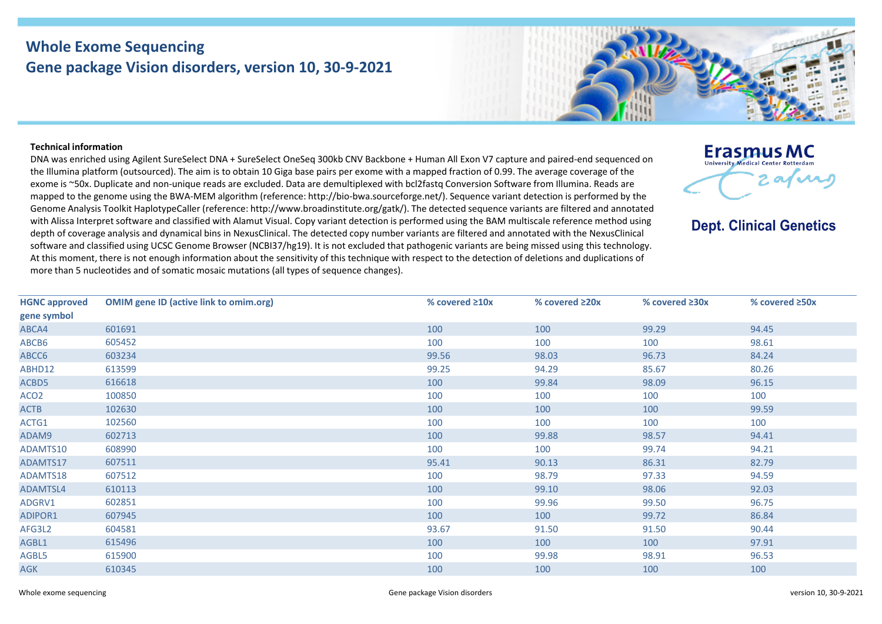## **Whole Exome Sequencing Gene package Vision disorders, version 10, 30-9-2021**



## **Technical information**

DNA was enriched using Agilent SureSelect DNA + SureSelect OneSeq 300kb CNV Backbone + Human All Exon V7 capture and paired-end sequenced on the Illumina platform (outsourced). The aim is to obtain 10 Giga base pairs per exome with a mapped fraction of 0.99. The average coverage of the exome is ~50x. Duplicate and non-unique reads are excluded. Data are demultiplexed with bcl2fastq Conversion Software from Illumina. Reads are mapped to the genome using the BWA-MEM algorithm (reference: http://bio-bwa.sourceforge.net/). Sequence variant detection is performed by the Genome Analysis Toolkit HaplotypeCaller (reference: http://www.broadinstitute.org/gatk/). The detected sequence variants are filtered and annotated with Alissa Interpret software and classified with Alamut Visual. Copy variant detection is performed using the BAM multiscale reference method using depth of coverage analysis and dynamical bins in NexusClinical. The detected copy number variants are filtered and annotated with the NexusClinical software and classified using UCSC Genome Browser (NCBI37/hg19). It is not excluded that pathogenic variants are being missed using this technology. At this moment, there is not enough information about the sensitivity of this technique with respect to the detection of deletions and duplications of more than 5 nucleotides and of somatic mosaic mutations (all types of sequence changes).



**Dept. Clinical Genetics** 

| <b>HGNC approved</b> | <b>OMIM gene ID (active link to omim.org)</b> | % covered $\geq 10x$ | % covered ≥20x | % covered $\geq 30x$ | % covered $\geq$ 50x |
|----------------------|-----------------------------------------------|----------------------|----------------|----------------------|----------------------|
| gene symbol          |                                               |                      |                |                      |                      |
| ABCA4                | 601691                                        | 100                  | 100            | 99.29                | 94.45                |
| ABCB6                | 605452                                        | 100                  | 100            | 100                  | 98.61                |
| ABCC6                | 603234                                        | 99.56                | 98.03          | 96.73                | 84.24                |
| ABHD12               | 613599                                        | 99.25                | 94.29          | 85.67                | 80.26                |
| ACBD5                | 616618                                        | 100                  | 99.84          | 98.09                | 96.15                |
| ACO <sub>2</sub>     | 100850                                        | 100                  | 100            | 100                  | 100                  |
| <b>ACTB</b>          | 102630                                        | 100                  | 100            | 100                  | 99.59                |
| ACTG1                | 102560                                        | 100                  | 100            | 100                  | 100                  |
| ADAM9                | 602713                                        | 100                  | 99.88          | 98.57                | 94.41                |
| ADAMTS10             | 608990                                        | 100                  | 100            | 99.74                | 94.21                |
| ADAMTS17             | 607511                                        | 95.41                | 90.13          | 86.31                | 82.79                |
| ADAMTS18             | 607512                                        | 100                  | 98.79          | 97.33                | 94.59                |
| ADAMTSL4             | 610113                                        | 100                  | 99.10          | 98.06                | 92.03                |
| ADGRV1               | 602851                                        | 100                  | 99.96          | 99.50                | 96.75                |
| ADIPOR1              | 607945                                        | 100                  | 100            | 99.72                | 86.84                |
| AFG3L2               | 604581                                        | 93.67                | 91.50          | 91.50                | 90.44                |
| AGBL1                | 615496                                        | 100                  | 100            | 100                  | 97.91                |
| AGBL5                | 615900                                        | 100                  | 99.98          | 98.91                | 96.53                |
| <b>AGK</b>           | 610345                                        | 100                  | 100            | 100                  | 100                  |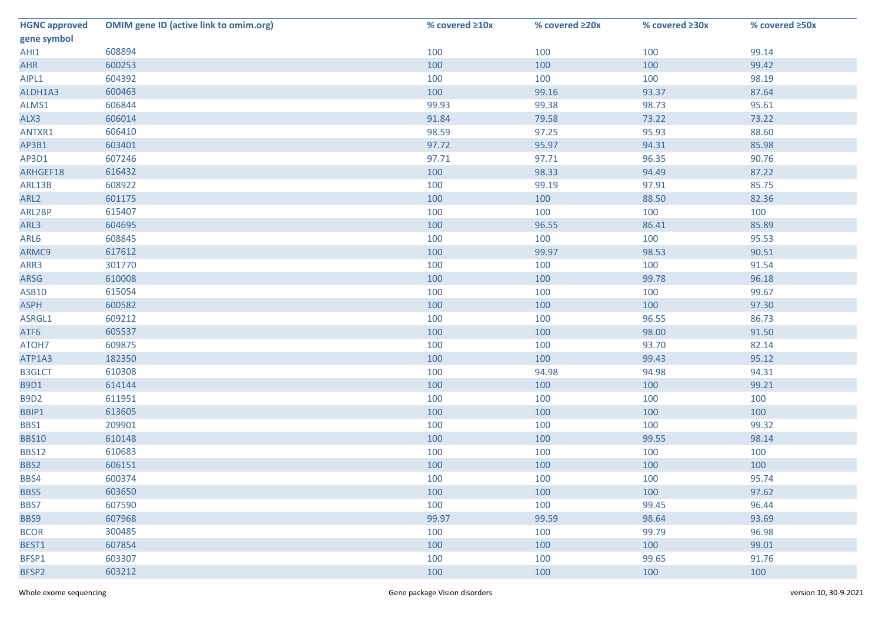| <b>HGNC approved</b> | <b>OMIM gene ID (active link to omim.org)</b> | % covered ≥10x | % covered ≥20x | % covered ≥30x | % covered ≥50x |
|----------------------|-----------------------------------------------|----------------|----------------|----------------|----------------|
| gene symbol          |                                               |                |                |                |                |
| AHI1                 | 608894                                        | 100            | 100            | 100            | 99.14          |
| <b>AHR</b>           | 600253                                        | 100            | 100            | 100            | 99.42          |
| AIPL1                | 604392                                        | 100            | 100            | 100            | 98.19          |
| ALDH1A3              | 600463                                        | 100            | 99.16          | 93.37          | 87.64          |
| ALMS1                | 606844                                        | 99.93          | 99.38          | 98.73          | 95.61          |
| ALX3                 | 606014                                        | 91.84          | 79.58          | 73.22          | 73.22          |
| ANTXR1               | 606410                                        | 98.59          | 97.25          | 95.93          | 88.60          |
| AP3B1                | 603401                                        | 97.72          | 95.97          | 94.31          | 85.98          |
| AP3D1                | 607246                                        | 97.71          | 97.71          | 96.35          | 90.76          |
| ARHGEF18             | 616432                                        | 100            | 98.33          | 94.49          | 87.22          |
| ARL13B               | 608922                                        | 100            | 99.19          | 97.91          | 85.75          |
| ARL <sub>2</sub>     | 601175                                        | 100            | 100            | 88.50          | 82.36          |
| ARL2BP               | 615407                                        | 100            | 100            | 100            | 100            |
| ARL3                 | 604695                                        | 100            | 96.55          | 86.41          | 85.89          |
| ARL6                 | 608845                                        | 100            | 100            | 100            | 95.53          |
| ARMC9                | 617612                                        | 100            | 99.97          | 98.53          | 90.51          |
| ARR3                 | 301770                                        | 100            | 100            | 100            | 91.54          |
| ARSG                 | 610008                                        | 100            | 100            | 99.78          | 96.18          |
| <b>ASB10</b>         | 615054                                        | 100            | 100            | 100            | 99.67          |
| <b>ASPH</b>          | 600582                                        | 100            | 100            | 100            | 97.30          |
| ASRGL1               | 609212                                        | 100            | 100            | 96.55          | 86.73          |
| ATF6                 | 605537                                        | 100            | 100            | 98.00          | 91.50          |
| ATOH7                | 609875                                        | 100            | 100            | 93.70          | 82.14          |
| ATP1A3               | 182350                                        | 100            | 100            | 99.43          | 95.12          |
| <b>B3GLCT</b>        | 610308                                        | 100            | 94.98          | 94.98          | 94.31          |
| <b>B9D1</b>          | 614144                                        | 100            | 100            | 100            | 99.21          |
| <b>B9D2</b>          | 611951                                        | 100            | 100            | 100            | 100            |
| BBIP1                | 613605                                        | 100            | 100            | 100            | 100            |
| BBS1                 | 209901                                        | 100            | 100            | 100            | 99.32          |
| <b>BBS10</b>         | 610148                                        | 100            | 100            | 99.55          | 98.14          |
| <b>BBS12</b>         | 610683                                        | 100            | 100            | 100            | 100            |
| BBS2                 | 606151                                        | 100            | 100            | 100            | 100            |
| BBS4                 | 600374                                        | 100            | 100            | 100            | 95.74          |
| BBS5                 | 603650                                        | 100            | 100            | 100            | 97.62          |
| BBS7                 | 607590                                        | 100            | 100            | 99.45          | 96.44          |
| BBS9                 | 607968                                        | 99.97          | 99.59          | 98.64          | 93.69          |
| <b>BCOR</b>          | 300485                                        | 100            | 100            | 99.79          | 96.98          |
| BEST1                | 607854                                        | 100            | 100            | 100            | 99.01          |
| BFSP1                | 603307                                        | 100            | 100            | 99.65          | 91.76          |
| BFSP2                | 603212                                        | 100            | 100            | 100            | 100            |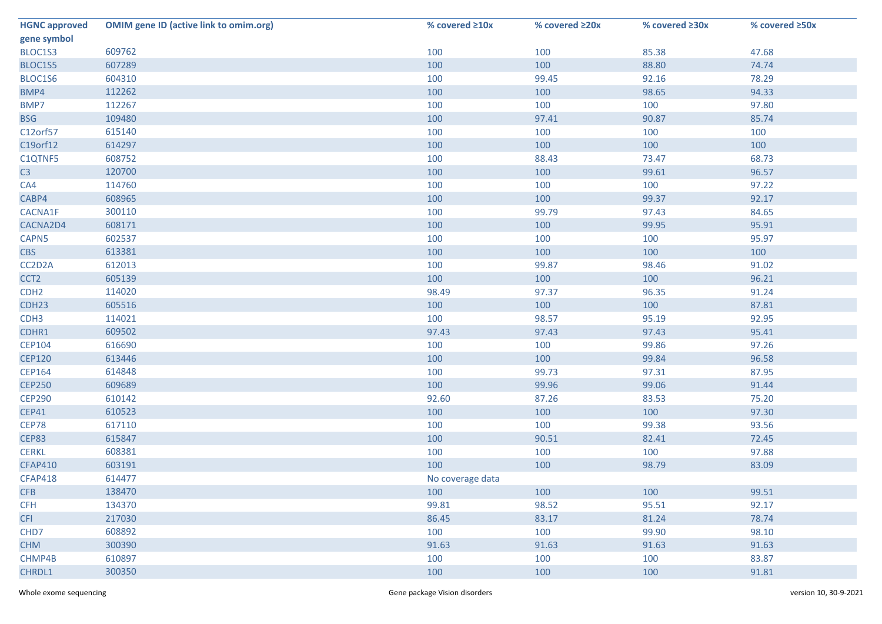| <b>HGNC approved</b> | <b>OMIM gene ID (active link to omim.org)</b> | % covered ≥10x   | % covered ≥20x | % covered ≥30x | % covered ≥50x |
|----------------------|-----------------------------------------------|------------------|----------------|----------------|----------------|
| gene symbol          |                                               |                  |                |                |                |
| BLOC1S3              | 609762                                        | 100              | 100            | 85.38          | 47.68          |
| BLOC1S5              | 607289                                        | 100              | 100            | 88.80          | 74.74          |
| BLOC1S6              | 604310                                        | 100              | 99.45          | 92.16          | 78.29          |
| BMP4                 | 112262                                        | 100              | 100            | 98.65          | 94.33          |
| BMP7                 | 112267                                        | 100              | 100            | 100            | 97.80          |
| <b>BSG</b>           | 109480                                        | 100              | 97.41          | 90.87          | 85.74          |
| C12orf57             | 615140                                        | 100              | 100            | 100            | 100            |
| C19orf12             | 614297                                        | 100              | 100            | 100            | 100            |
| C1QTNF5              | 608752                                        | 100              | 88.43          | 73.47          | 68.73          |
| C3                   | 120700                                        | 100              | 100            | 99.61          | 96.57          |
| CA4                  | 114760                                        | 100              | 100            | 100            | 97.22          |
| CABP4                | 608965                                        | 100              | 100            | 99.37          | 92.17          |
| CACNA1F              | 300110                                        | 100              | 99.79          | 97.43          | 84.65          |
| CACNA2D4             | 608171                                        | 100              | 100            | 99.95          | 95.91          |
| CAPN5                | 602537                                        | 100              | 100            | 100            | 95.97          |
| <b>CBS</b>           | 613381                                        | 100              | 100            | 100            | 100            |
| CC2D2A               | 612013                                        | 100              | 99.87          | 98.46          | 91.02          |
| CCT <sub>2</sub>     | 605139                                        | 100              | 100            | 100            | 96.21          |
| CDH <sub>2</sub>     | 114020                                        | 98.49            | 97.37          | 96.35          | 91.24          |
| CDH <sub>23</sub>    | 605516                                        | 100              | 100            | 100            | 87.81          |
| CDH <sub>3</sub>     | 114021                                        | 100              | 98.57          | 95.19          | 92.95          |
| CDHR1                | 609502                                        | 97.43            | 97.43          | 97.43          | 95.41          |
| <b>CEP104</b>        | 616690                                        | 100              | 100            | 99.86          | 97.26          |
| <b>CEP120</b>        | 613446                                        | 100              | 100            | 99.84          | 96.58          |
| <b>CEP164</b>        | 614848                                        | 100              | 99.73          | 97.31          | 87.95          |
| <b>CEP250</b>        | 609689                                        | 100              | 99.96          | 99.06          | 91.44          |
| <b>CEP290</b>        | 610142                                        | 92.60            | 87.26          | 83.53          | 75.20          |
| <b>CEP41</b>         | 610523                                        | 100              | 100            | 100            | 97.30          |
| CEP78                | 617110                                        | 100              | 100            | 99.38          | 93.56          |
| <b>CEP83</b>         | 615847                                        | 100              | 90.51          | 82.41          | 72.45          |
| <b>CERKL</b>         | 608381                                        | 100              | 100            | 100            | 97.88          |
| <b>CFAP410</b>       | 603191                                        | 100              | 100            | 98.79          | 83.09          |
| <b>CFAP418</b>       | 614477                                        | No coverage data |                |                |                |
| <b>CFB</b>           | 138470                                        | 100              | 100            | 100            | 99.51          |
| <b>CFH</b>           | 134370                                        | 99.81            | 98.52          | 95.51          | 92.17          |
| <b>CFI</b>           | 217030                                        | 86.45            | 83.17          | 81.24          | 78.74          |
| CHD7                 | 608892                                        | 100              | 100            | 99.90          | 98.10          |
| <b>CHM</b>           | 300390                                        | 91.63            | 91.63          | 91.63          | 91.63          |
| CHMP4B               | 610897                                        | 100              | 100            | 100            | 83.87          |
| CHRDL1               | 300350                                        | 100              | 100            | 100            | 91.81          |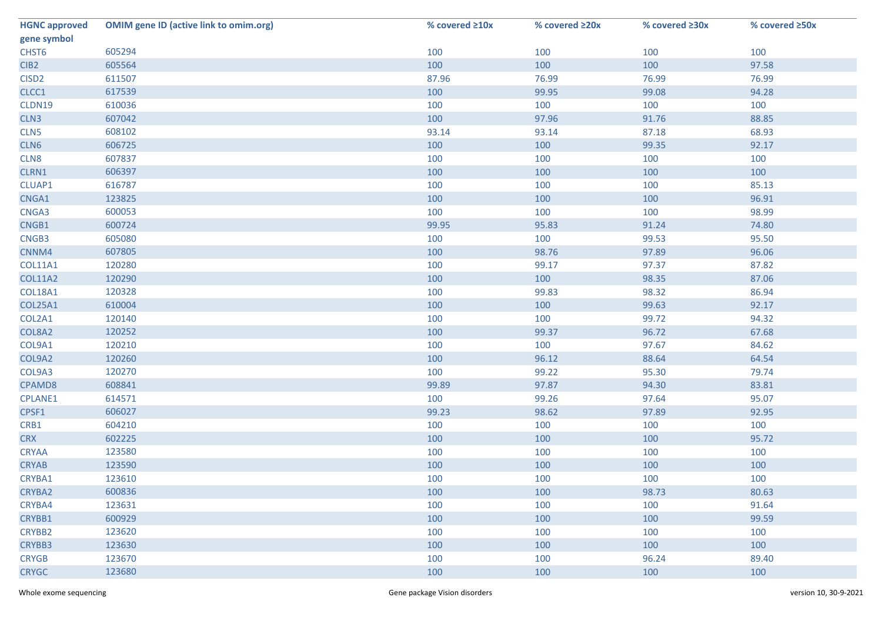| <b>HGNC approved</b> | <b>OMIM gene ID (active link to omim.org)</b> | % covered ≥10x | % covered ≥20x | % covered ≥30x | % covered ≥50x |
|----------------------|-----------------------------------------------|----------------|----------------|----------------|----------------|
| gene symbol          |                                               |                |                |                |                |
| CHST6                | 605294                                        | 100            | 100            | 100            | 100            |
| CIB <sub>2</sub>     | 605564                                        | 100            | 100            | 100            | 97.58          |
| CISD <sub>2</sub>    | 611507                                        | 87.96          | 76.99          | 76.99          | 76.99          |
| CLCC1                | 617539                                        | 100            | 99.95          | 99.08          | 94.28          |
| CLDN19               | 610036                                        | 100            | 100            | 100            | 100            |
| CLN3                 | 607042                                        | 100            | 97.96          | 91.76          | 88.85          |
| CLN5                 | 608102                                        | 93.14          | 93.14          | 87.18          | 68.93          |
| CLN6                 | 606725                                        | 100            | 100            | 99.35          | 92.17          |
| CLN8                 | 607837                                        | 100            | 100            | 100            | 100            |
| CLRN1                | 606397                                        | 100            | 100            | 100            | 100            |
| CLUAP1               | 616787                                        | 100            | 100            | 100            | 85.13          |
| CNGA1                | 123825                                        | 100            | 100            | 100            | 96.91          |
| CNGA3                | 600053                                        | 100            | 100            | 100            | 98.99          |
| CNGB1                | 600724                                        | 99.95          | 95.83          | 91.24          | 74.80          |
| CNGB3                | 605080                                        | 100            | 100            | 99.53          | 95.50          |
| CNNM4                | 607805                                        | 100            | 98.76          | 97.89          | 96.06          |
| <b>COL11A1</b>       | 120280                                        | 100            | 99.17          | 97.37          | 87.82          |
| <b>COL11A2</b>       | 120290                                        | 100            | 100            | 98.35          | 87.06          |
| COL18A1              | 120328                                        | 100            | 99.83          | 98.32          | 86.94          |
| <b>COL25A1</b>       | 610004                                        | 100            | 100            | 99.63          | 92.17          |
| COL2A1               | 120140                                        | 100            | 100            | 99.72          | 94.32          |
| COL8A2               | 120252                                        | 100            | 99.37          | 96.72          | 67.68          |
| COL9A1               | 120210                                        | 100            | 100            | 97.67          | 84.62          |
| COL9A2               | 120260                                        | 100            | 96.12          | 88.64          | 64.54          |
| COL9A3               | 120270                                        | 100            | 99.22          | 95.30          | 79.74          |
| CPAMD8               | 608841                                        | 99.89          | 97.87          | 94.30          | 83.81          |
| CPLANE1              | 614571                                        | 100            | 99.26          | 97.64          | 95.07          |
| CPSF1                | 606027                                        | 99.23          | 98.62          | 97.89          | 92.95          |
| CRB1                 | 604210                                        | 100            | 100            | 100            | 100            |
| <b>CRX</b>           | 602225                                        | 100            | 100            | 100            | 95.72          |
| <b>CRYAA</b>         | 123580                                        | 100            | 100            | 100            | 100            |
| <b>CRYAB</b>         | 123590                                        | 100            | 100            | 100            | 100            |
| CRYBA1               | 123610                                        | 100            | 100            | 100            | 100            |
| <b>CRYBA2</b>        | 600836                                        | 100            | 100            | 98.73          | 80.63          |
| CRYBA4               | 123631                                        | 100            | 100            | 100            | 91.64          |
| CRYBB1               | 600929                                        | 100            | 100            | 100            | 99.59          |
| CRYBB2               | 123620                                        | 100            | 100            | 100            | 100            |
| CRYBB3               | 123630                                        | 100            | 100            | 100            | 100            |
| <b>CRYGB</b>         | 123670                                        | 100            | 100            | 96.24          | 89.40          |
| <b>CRYGC</b>         | 123680                                        | 100            | 100            | 100            | 100            |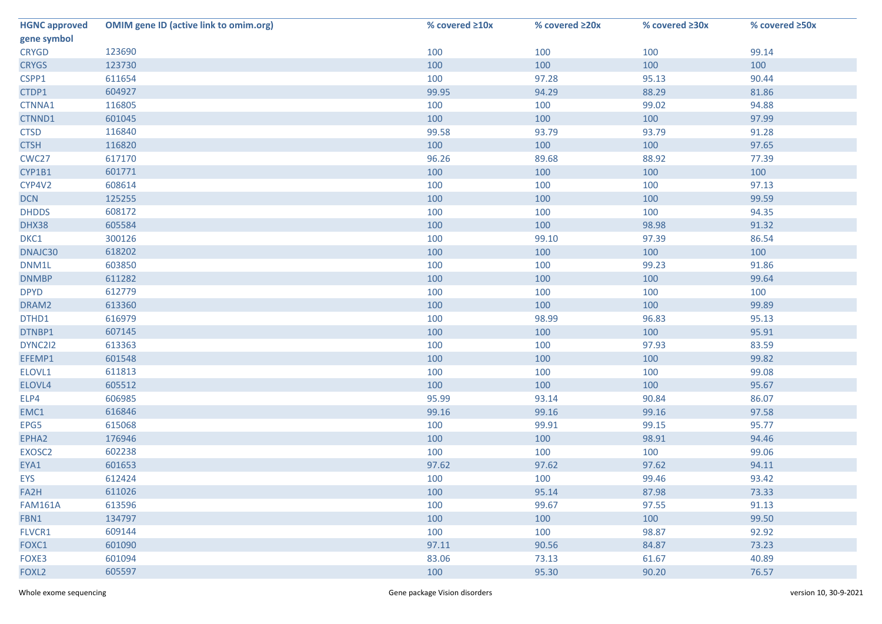| <b>HGNC approved</b> | <b>OMIM gene ID (active link to omim.org)</b> | % covered ≥10x | % covered ≥20x | % covered ≥30x | % covered ≥50x |
|----------------------|-----------------------------------------------|----------------|----------------|----------------|----------------|
| gene symbol          |                                               |                |                |                |                |
| <b>CRYGD</b>         | 123690                                        | 100            | 100            | 100            | 99.14          |
| <b>CRYGS</b>         | 123730                                        | 100            | 100            | 100            | 100            |
| CSPP1                | 611654                                        | 100            | 97.28          | 95.13          | 90.44          |
| CTDP1                | 604927                                        | 99.95          | 94.29          | 88.29          | 81.86          |
| CTNNA1               | 116805                                        | 100            | 100            | 99.02          | 94.88          |
| CTNND1               | 601045                                        | 100            | 100            | 100            | 97.99          |
| <b>CTSD</b>          | 116840                                        | 99.58          | 93.79          | 93.79          | 91.28          |
| <b>CTSH</b>          | 116820                                        | 100            | 100            | 100            | 97.65          |
| CWC27                | 617170                                        | 96.26          | 89.68          | 88.92          | 77.39          |
| CYP1B1               | 601771                                        | 100            | 100            | 100            | 100            |
| CYP4V2               | 608614                                        | 100            | 100            | 100            | 97.13          |
| <b>DCN</b>           | 125255                                        | 100            | 100            | 100            | 99.59          |
| <b>DHDDS</b>         | 608172                                        | 100            | 100            | 100            | 94.35          |
| DHX38                | 605584                                        | 100            | 100            | 98.98          | 91.32          |
| DKC1                 | 300126                                        | 100            | 99.10          | 97.39          | 86.54          |
| DNAJC30              | 618202                                        | 100            | 100            | 100            | 100            |
| DNM1L                | 603850                                        | 100            | 100            | 99.23          | 91.86          |
| <b>DNMBP</b>         | 611282                                        | 100            | 100            | 100            | 99.64          |
| <b>DPYD</b>          | 612779                                        | 100            | 100            | 100            | 100            |
| DRAM2                | 613360                                        | 100            | 100            | 100            | 99.89          |
| DTHD1                | 616979                                        | 100            | 98.99          | 96.83          | 95.13          |
| DTNBP1               | 607145                                        | 100            | 100            | 100            | 95.91          |
| DYNC2I2              | 613363                                        | 100            | 100            | 97.93          | 83.59          |
| EFEMP1               | 601548                                        | 100            | 100            | 100            | 99.82          |
| ELOVL1               | 611813                                        | 100            | 100            | 100            | 99.08          |
| ELOVL4               | 605512                                        | 100            | 100            | 100            | 95.67          |
| ELP4                 | 606985                                        | 95.99          | 93.14          | 90.84          | 86.07          |
| EMC1                 | 616846                                        | 99.16          | 99.16          | 99.16          | 97.58          |
| EPG5                 | 615068                                        | 100            | 99.91          | 99.15          | 95.77          |
| EPHA2                | 176946                                        | 100            | 100            | 98.91          | 94.46          |
| EXOSC2               | 602238                                        | 100            | 100            | 100            | 99.06          |
| EYA1                 | 601653                                        | 97.62          | 97.62          | 97.62          | 94.11          |
| <b>EYS</b>           | 612424                                        | 100            | 100            | 99.46          | 93.42          |
| FA2H                 | 611026                                        | 100            | 95.14          | 87.98          | 73.33          |
| <b>FAM161A</b>       | 613596                                        | 100            | 99.67          | 97.55          | 91.13          |
| FBN1                 | 134797                                        | 100            | 100            | 100            | 99.50          |
| FLVCR1               | 609144                                        | 100            | 100            | 98.87          | 92.92          |
| FOXC1                | 601090                                        | 97.11          | 90.56          | 84.87          | 73.23          |
| FOXE3                | 601094                                        | 83.06          | 73.13          | 61.67          | 40.89          |
| FOXL <sub>2</sub>    | 605597                                        | 100            | 95.30          | 90.20          | 76.57          |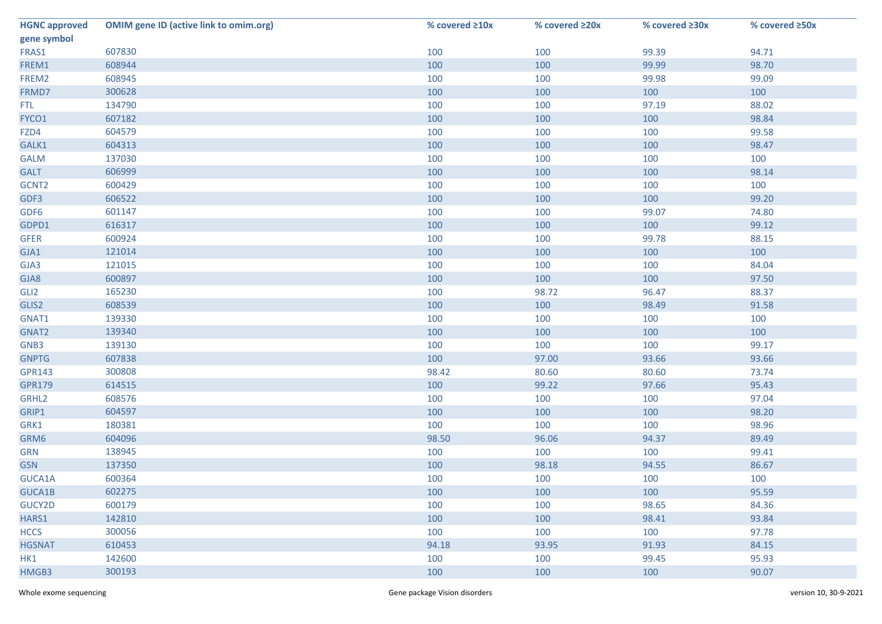| <b>HGNC approved</b> | <b>OMIM gene ID (active link to omim.org)</b> | % covered ≥10x | % covered ≥20x | % covered ≥30x | % covered ≥50x |
|----------------------|-----------------------------------------------|----------------|----------------|----------------|----------------|
| gene symbol          |                                               |                |                |                |                |
| FRAS1                | 607830                                        | 100            | 100            | 99.39          | 94.71          |
| FREM1                | 608944                                        | 100            | 100            | 99.99          | 98.70          |
| FREM2                | 608945                                        | 100            | 100            | 99.98          | 99.09          |
| FRMD7                | 300628                                        | 100            | 100            | 100            | 100            |
| <b>FTL</b>           | 134790                                        | 100            | 100            | 97.19          | 88.02          |
| FYCO1                | 607182                                        | 100            | 100            | 100            | 98.84          |
| FZD4                 | 604579                                        | 100            | 100            | 100            | 99.58          |
| GALK1                | 604313                                        | 100            | 100            | 100            | 98.47          |
| <b>GALM</b>          | 137030                                        | 100            | 100            | 100            | 100            |
| <b>GALT</b>          | 606999                                        | 100            | 100            | 100            | 98.14          |
| GCNT2                | 600429                                        | 100            | 100            | 100            | 100            |
| GDF3                 | 606522                                        | 100            | 100            | 100            | 99.20          |
| GDF6                 | 601147                                        | 100            | 100            | 99.07          | 74.80          |
| GDPD1                | 616317                                        | 100            | 100            | 100            | 99.12          |
| <b>GFER</b>          | 600924                                        | 100            | 100            | 99.78          | 88.15          |
| GJA1                 | 121014                                        | 100            | 100            | 100            | 100            |
| GJA3                 | 121015                                        | 100            | 100            | 100            | 84.04          |
| GJA8                 | 600897                                        | 100            | 100            | 100            | 97.50          |
| GLI <sub>2</sub>     | 165230                                        | 100            | 98.72          | 96.47          | 88.37          |
| GLIS2                | 608539                                        | 100            | 100            | 98.49          | 91.58          |
| GNAT1                | 139330                                        | 100            | 100            | 100            | 100            |
| GNAT2                | 139340                                        | 100            | 100            | 100            | 100            |
| GNB3                 | 139130                                        | 100            | 100            | 100            | 99.17          |
| <b>GNPTG</b>         | 607838                                        | 100            | 97.00          | 93.66          | 93.66          |
| <b>GPR143</b>        | 300808                                        | 98.42          | 80.60          | 80.60          | 73.74          |
| <b>GPR179</b>        | 614515                                        | 100            | 99.22          | 97.66          | 95.43          |
| GRHL2                | 608576                                        | 100            | 100            | 100            | 97.04          |
| GRIP1                | 604597                                        | 100            | 100            | 100            | 98.20          |
| GRK1                 | 180381                                        | 100            | 100            | 100            | 98.96          |
| GRM6                 | 604096                                        | 98.50          | 96.06          | 94.37          | 89.49          |
| <b>GRN</b>           | 138945                                        | 100            | 100            | 100            | 99.41          |
| <b>GSN</b>           | 137350                                        | 100            | 98.18          | 94.55          | 86.67          |
| GUCA1A               | 600364                                        | 100            | 100            | 100            | 100            |
| GUCA1B               | 602275                                        | 100            | 100            | 100            | 95.59          |
| GUCY2D               | 600179                                        | 100            | 100            | 98.65          | 84.36          |
| HARS1                | 142810                                        | 100            | 100            | 98.41          | 93.84          |
| <b>HCCS</b>          | 300056                                        | 100            | 100            | 100            | 97.78          |
| <b>HGSNAT</b>        | 610453                                        | 94.18          | 93.95          | 91.93          | 84.15          |
| HK1                  | 142600                                        | 100            | 100            | 99.45          | 95.93          |
| HMGB3                | 300193                                        | 100            | 100            | 100            | 90.07          |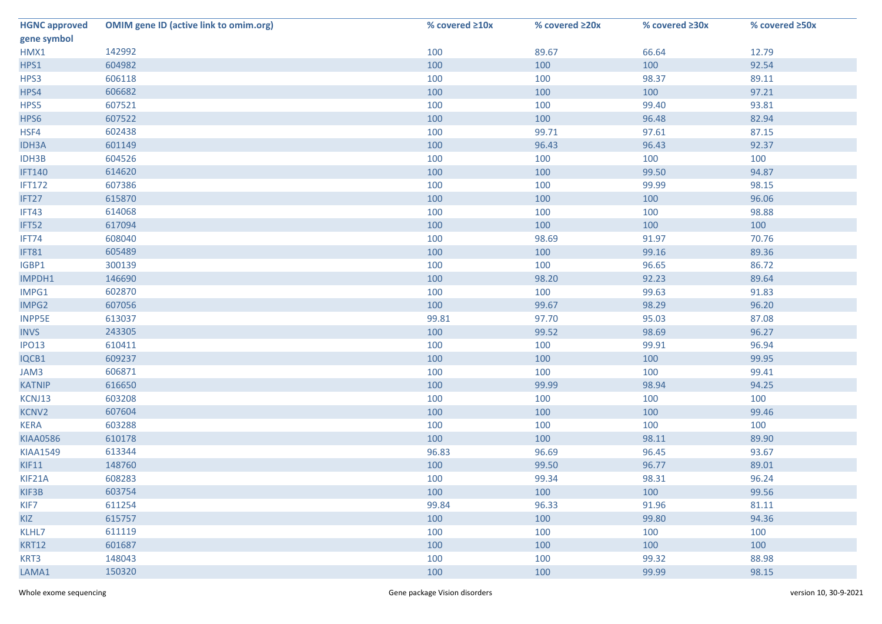| <b>HGNC approved</b> | <b>OMIM gene ID (active link to omim.org)</b> | % covered ≥10x | % covered ≥20x | % covered ≥30x | % covered ≥50x |
|----------------------|-----------------------------------------------|----------------|----------------|----------------|----------------|
| gene symbol          |                                               |                |                |                |                |
| HMX1                 | 142992                                        | 100            | 89.67          | 66.64          | 12.79          |
| HPS1                 | 604982                                        | 100            | 100            | 100            | 92.54          |
| HPS3                 | 606118                                        | 100            | 100            | 98.37          | 89.11          |
| HPS4                 | 606682                                        | 100            | 100            | 100            | 97.21          |
| HPS5                 | 607521                                        | 100            | 100            | 99.40          | 93.81          |
| HPS6                 | 607522                                        | 100            | 100            | 96.48          | 82.94          |
| HSF4                 | 602438                                        | 100            | 99.71          | 97.61          | 87.15          |
| <b>IDH3A</b>         | 601149                                        | 100            | 96.43          | 96.43          | 92.37          |
| IDH3B                | 604526                                        | 100            | 100            | 100            | 100            |
| <b>IFT140</b>        | 614620                                        | 100            | 100            | 99.50          | 94.87          |
| <b>IFT172</b>        | 607386                                        | 100            | 100            | 99.99          | 98.15          |
| IFT27                | 615870                                        | 100            | 100            | 100            | 96.06          |
| IFT43                | 614068                                        | 100            | 100            | 100            | 98.88          |
| IFT52                | 617094                                        | 100            | 100            | 100            | 100            |
| IFT74                | 608040                                        | 100            | 98.69          | 91.97          | 70.76          |
| IFT81                | 605489                                        | 100            | 100            | 99.16          | 89.36          |
| IGBP1                | 300139                                        | 100            | 100            | 96.65          | 86.72          |
| IMPDH1               | 146690                                        | 100            | 98.20          | 92.23          | 89.64          |
| IMPG1                | 602870                                        | 100            | 100            | 99.63          | 91.83          |
| IMPG2                | 607056                                        | 100            | 99.67          | 98.29          | 96.20          |
| <b>INPP5E</b>        | 613037                                        | 99.81          | 97.70          | 95.03          | 87.08          |
| <b>INVS</b>          | 243305                                        | 100            | 99.52          | 98.69          | 96.27          |
| <b>IPO13</b>         | 610411                                        | 100            | 100            | 99.91          | 96.94          |
| IQCB1                | 609237                                        | 100            | 100            | 100            | 99.95          |
| JAM3                 | 606871                                        | 100            | 100            | 100            | 99.41          |
| <b>KATNIP</b>        | 616650                                        | 100            | 99.99          | 98.94          | 94.25          |
| KCNJ13               | 603208                                        | 100            | 100            | 100            | 100            |
| KCNV2                | 607604                                        | 100            | 100            | 100            | 99.46          |
| <b>KERA</b>          | 603288                                        | 100            | 100            | 100            | 100            |
| <b>KIAA0586</b>      | 610178                                        | 100            | 100            | 98.11          | 89.90          |
| <b>KIAA1549</b>      | 613344                                        | 96.83          | 96.69          | 96.45          | 93.67          |
| KIF11                | 148760                                        | 100            | 99.50          | 96.77          | 89.01          |
| KIF21A               | 608283                                        | 100            | 99.34          | 98.31          | 96.24          |
| KIF3B                | 603754                                        | 100            | 100            | 100            | 99.56          |
| KIF7                 | 611254                                        | 99.84          | 96.33          | 91.96          | 81.11          |
| KIZ                  | 615757                                        | 100            | 100            | 99.80          | 94.36          |
| KLHL7                | 611119                                        | 100            | 100            | 100            | 100            |
| <b>KRT12</b>         | 601687                                        | 100            | 100            | 100            | 100            |
| KRT3                 | 148043                                        | 100            | 100            | 99.32          | 88.98          |
| LAMA1                | 150320                                        | 100            | 100            | 99.99          | 98.15          |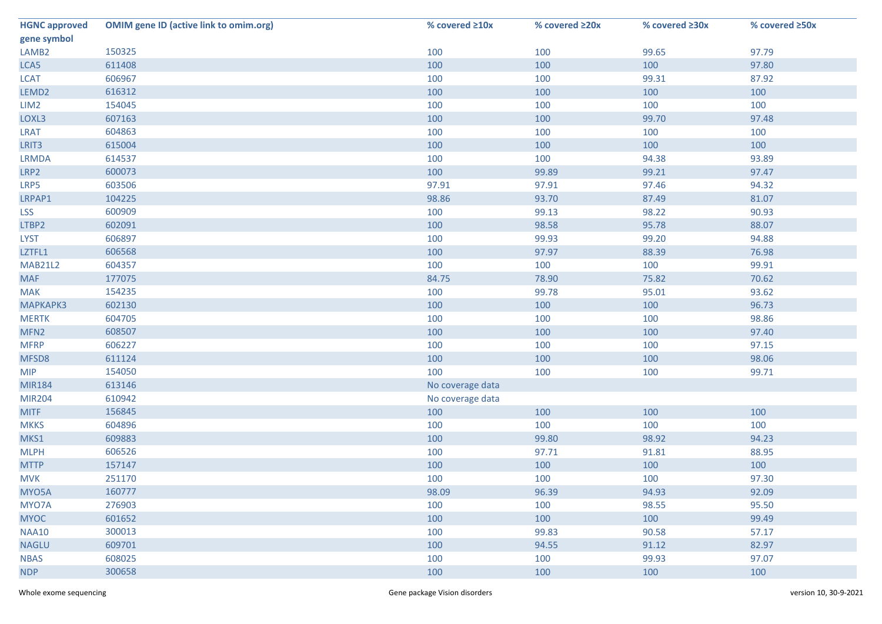| <b>HGNC approved</b> | <b>OMIM gene ID (active link to omim.org)</b> | % covered ≥10x   | % covered ≥20x | % covered ≥30x | % covered ≥50x |
|----------------------|-----------------------------------------------|------------------|----------------|----------------|----------------|
| gene symbol          |                                               |                  |                |                |                |
| LAMB <sub>2</sub>    | 150325                                        | 100              | 100            | 99.65          | 97.79          |
| LCA5                 | 611408                                        | 100              | 100            | 100            | 97.80          |
| <b>LCAT</b>          | 606967                                        | 100              | 100            | 99.31          | 87.92          |
| LEMD <sub>2</sub>    | 616312                                        | 100              | 100            | 100            | 100            |
| LIM <sub>2</sub>     | 154045                                        | 100              | 100            | 100            | 100            |
| LOXL3                | 607163                                        | 100              | 100            | 99.70          | 97.48          |
| <b>LRAT</b>          | 604863                                        | 100              | 100            | 100            | 100            |
| LRIT3                | 615004                                        | 100              | 100            | 100            | 100            |
| <b>LRMDA</b>         | 614537                                        | 100              | 100            | 94.38          | 93.89          |
| LRP2                 | 600073                                        | 100              | 99.89          | 99.21          | 97.47          |
| LRP5                 | 603506                                        | 97.91            | 97.91          | 97.46          | 94.32          |
| LRPAP1               | 104225                                        | 98.86            | 93.70          | 87.49          | 81.07          |
| <b>LSS</b>           | 600909                                        | 100              | 99.13          | 98.22          | 90.93          |
| LTBP2                | 602091                                        | 100              | 98.58          | 95.78          | 88.07          |
| <b>LYST</b>          | 606897                                        | 100              | 99.93          | 99.20          | 94.88          |
| LZTFL1               | 606568                                        | 100              | 97.97          | 88.39          | 76.98          |
| <b>MAB21L2</b>       | 604357                                        | 100              | 100            | 100            | 99.91          |
| <b>MAF</b>           | 177075                                        | 84.75            | 78.90          | 75.82          | 70.62          |
| <b>MAK</b>           | 154235                                        | 100              | 99.78          | 95.01          | 93.62          |
| <b>МАРКАРКЗ</b>      | 602130                                        | 100              | 100            | 100            | 96.73          |
| <b>MERTK</b>         | 604705                                        | 100              | 100            | 100            | 98.86          |
| MFN <sub>2</sub>     | 608507                                        | 100              | 100            | 100            | 97.40          |
| <b>MFRP</b>          | 606227                                        | 100              | 100            | 100            | 97.15          |
| MFSD8                | 611124                                        | 100              | 100            | 100            | 98.06          |
| <b>MIP</b>           | 154050                                        | 100              | 100            | 100            | 99.71          |
| <b>MIR184</b>        | 613146                                        | No coverage data |                |                |                |
| <b>MIR204</b>        | 610942                                        | No coverage data |                |                |                |
| <b>MITF</b>          | 156845                                        | 100              | 100            | 100            | 100            |
| <b>MKKS</b>          | 604896                                        | 100              | 100            | 100            | 100            |
| MKS1                 | 609883                                        | 100              | 99.80          | 98.92          | 94.23          |
| <b>MLPH</b>          | 606526                                        | 100              | 97.71          | 91.81          | 88.95          |
| <b>MTTP</b>          | 157147                                        | 100              | 100            | 100            | 100            |
| <b>MVK</b>           | 251170                                        | 100              | 100            | 100            | 97.30          |
| MYO5A                | 160777                                        | 98.09            | 96.39          | 94.93          | 92.09          |
| MYO7A                | 276903                                        | 100              | 100            | 98.55          | 95.50          |
| <b>MYOC</b>          | 601652                                        | 100              | 100            | 100            | 99.49          |
| <b>NAA10</b>         | 300013                                        | 100              | 99.83          | 90.58          | 57.17          |
| <b>NAGLU</b>         | 609701                                        | 100              | 94.55          | 91.12          | 82.97          |
| <b>NBAS</b>          | 608025                                        | 100              | 100            | 99.93          | 97.07          |
| <b>NDP</b>           | 300658                                        | 100              | 100            | 100            | 100            |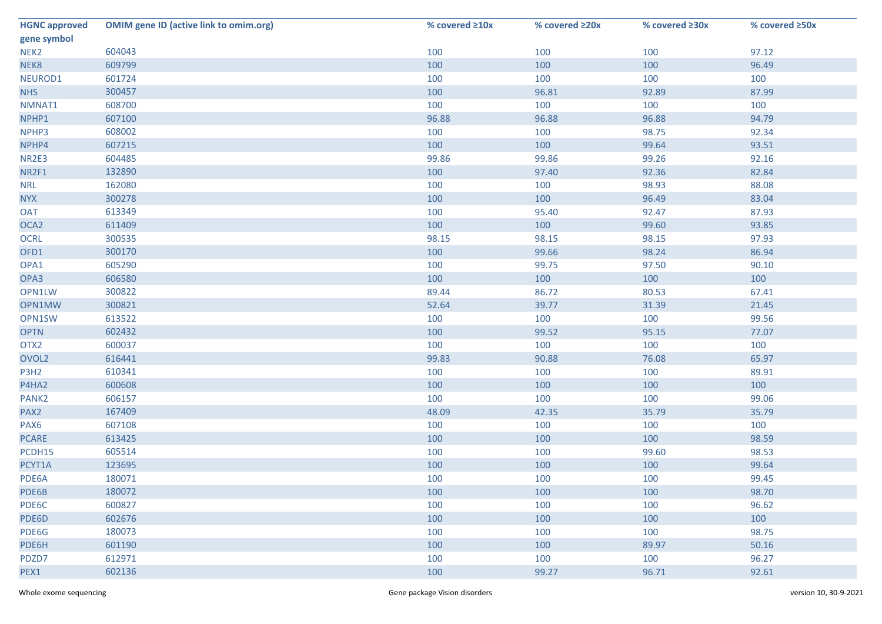| <b>HGNC approved</b> | <b>OMIM gene ID (active link to omim.org)</b> | % covered ≥10x | % covered ≥20x | % covered ≥30x | % covered ≥50x |
|----------------------|-----------------------------------------------|----------------|----------------|----------------|----------------|
| gene symbol          |                                               |                |                |                |                |
| NEK <sub>2</sub>     | 604043                                        | 100            | 100            | 100            | 97.12          |
| NEK8                 | 609799                                        | 100            | 100            | 100            | 96.49          |
| NEUROD1              | 601724                                        | 100            | 100            | 100            | 100            |
| <b>NHS</b>           | 300457                                        | 100            | 96.81          | 92.89          | 87.99          |
| NMNAT1               | 608700                                        | 100            | 100            | 100            | 100            |
| NPHP1                | 607100                                        | 96.88          | 96.88          | 96.88          | 94.79          |
| NPHP3                | 608002                                        | 100            | 100            | 98.75          | 92.34          |
| NPHP4                | 607215                                        | 100            | 100            | 99.64          | 93.51          |
| NR2E3                | 604485                                        | 99.86          | 99.86          | 99.26          | 92.16          |
| NR2F1                | 132890                                        | 100            | 97.40          | 92.36          | 82.84          |
| <b>NRL</b>           | 162080                                        | 100            | 100            | 98.93          | 88.08          |
| <b>NYX</b>           | 300278                                        | 100            | 100            | 96.49          | 83.04          |
| <b>OAT</b>           | 613349                                        | 100            | 95.40          | 92.47          | 87.93          |
| OCA <sub>2</sub>     | 611409                                        | 100            | 100            | 99.60          | 93.85          |
| <b>OCRL</b>          | 300535                                        | 98.15          | 98.15          | 98.15          | 97.93          |
| OFD1                 | 300170                                        | 100            | 99.66          | 98.24          | 86.94          |
| OPA1                 | 605290                                        | 100            | 99.75          | 97.50          | 90.10          |
| OPA3                 | 606580                                        | 100            | 100            | 100            | 100            |
| OPN1LW               | 300822                                        | 89.44          | 86.72          | 80.53          | 67.41          |
| OPN1MW               | 300821                                        | 52.64          | 39.77          | 31.39          | 21.45          |
| OPN1SW               | 613522                                        | 100            | 100            | 100            | 99.56          |
| <b>OPTN</b>          | 602432                                        | 100            | 99.52          | 95.15          | 77.07          |
| OTX2                 | 600037                                        | 100            | 100            | 100            | 100            |
| OVOL <sub>2</sub>    | 616441                                        | 99.83          | 90.88          | 76.08          | 65.97          |
| P3H <sub>2</sub>     | 610341                                        | 100            | 100            | 100            | 89.91          |
| P4HA2                | 600608                                        | 100            | 100            | 100            | 100            |
| PANK <sub>2</sub>    | 606157                                        | 100            | 100            | 100            | 99.06          |
| PAX <sub>2</sub>     | 167409                                        | 48.09          | 42.35          | 35.79          | 35.79          |
| PAX6                 | 607108                                        | 100            | 100            | 100            | 100            |
| <b>PCARE</b>         | 613425                                        | 100            | 100            | 100            | 98.59          |
| PCDH15               | 605514                                        | 100            | 100            | 99.60          | 98.53          |
| PCYT1A               | 123695                                        | 100            | 100            | 100            | 99.64          |
| PDE6A                | 180071                                        | 100            | 100            | 100            | 99.45          |
| PDE6B                | 180072                                        | 100            | 100            | 100            | 98.70          |
| PDE6C                | 600827                                        | 100            | 100            | 100            | 96.62          |
| PDE6D                | 602676                                        | 100            | 100            | 100            | 100            |
| PDE6G                | 180073                                        | 100            | 100            | 100            | 98.75          |
| PDE6H                | 601190                                        | 100            | 100            | 89.97          | 50.16          |
| PDZD7                | 612971                                        | 100            | 100            | 100            | 96.27          |
| PEX1                 | 602136                                        | 100            | 99.27          | 96.71          | 92.61          |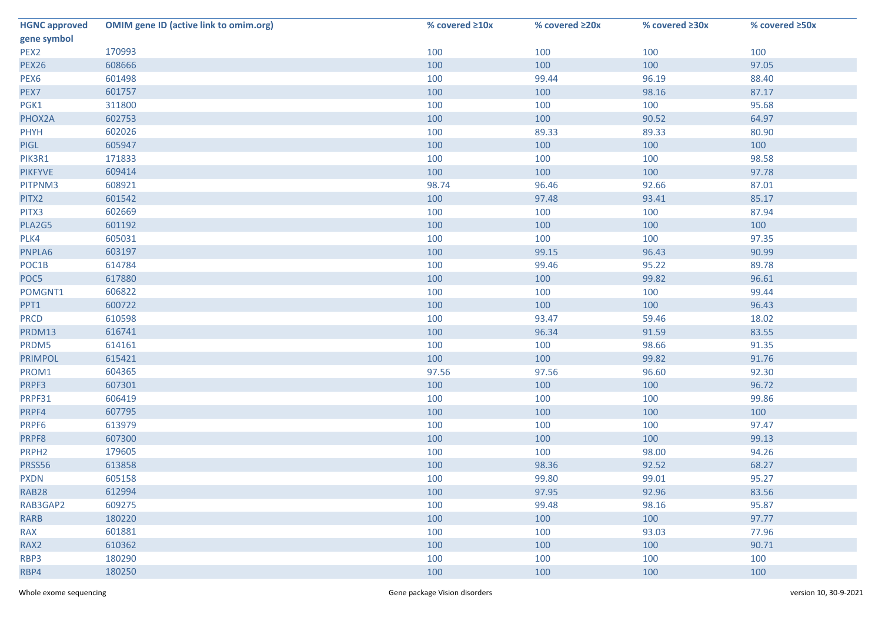| <b>HGNC approved</b> | <b>OMIM gene ID (active link to omim.org)</b> | % covered ≥10x | % covered ≥20x | % covered ≥30x | % covered ≥50x |
|----------------------|-----------------------------------------------|----------------|----------------|----------------|----------------|
| gene symbol          |                                               |                |                |                |                |
| PEX2                 | 170993                                        | 100            | 100            | 100            | 100            |
| <b>PEX26</b>         | 608666                                        | 100            | 100            | 100            | 97.05          |
| PEX6                 | 601498                                        | 100            | 99.44          | 96.19          | 88.40          |
| PEX7                 | 601757                                        | 100            | 100            | 98.16          | 87.17          |
| PGK1                 | 311800                                        | 100            | 100            | 100            | 95.68          |
| PHOX2A               | 602753                                        | 100            | 100            | 90.52          | 64.97          |
| PHYH                 | 602026                                        | 100            | 89.33          | 89.33          | 80.90          |
| <b>PIGL</b>          | 605947                                        | 100            | 100            | 100            | 100            |
| PIK3R1               | 171833                                        | 100            | 100            | 100            | 98.58          |
| <b>PIKFYVE</b>       | 609414                                        | 100            | 100            | 100            | 97.78          |
| PITPNM3              | 608921                                        | 98.74          | 96.46          | 92.66          | 87.01          |
| PITX2                | 601542                                        | 100            | 97.48          | 93.41          | 85.17          |
| PITX3                | 602669                                        | 100            | 100            | 100            | 87.94          |
| PLA2G5               | 601192                                        | 100            | 100            | 100            | 100            |
| PLK4                 | 605031                                        | 100            | 100            | 100            | 97.35          |
| PNPLA6               | 603197                                        | 100            | 99.15          | 96.43          | 90.99          |
| POC1B                | 614784                                        | 100            | 99.46          | 95.22          | 89.78          |
| POC5                 | 617880                                        | 100            | 100            | 99.82          | 96.61          |
| POMGNT1              | 606822                                        | 100            | 100            | 100            | 99.44          |
| PPT1                 | 600722                                        | 100            | 100            | 100            | 96.43          |
| <b>PRCD</b>          | 610598                                        | 100            | 93.47          | 59.46          | 18.02          |
| PRDM13               | 616741                                        | 100            | 96.34          | 91.59          | 83.55          |
| PRDM5                | 614161                                        | 100            | 100            | 98.66          | 91.35          |
| PRIMPOL              | 615421                                        | 100            | 100            | 99.82          | 91.76          |
| PROM1                | 604365                                        | 97.56          | 97.56          | 96.60          | 92.30          |
| PRPF3                | 607301                                        | 100            | 100            | 100            | 96.72          |
| PRPF31               | 606419                                        | 100            | 100            | 100            | 99.86          |
| PRPF4                | 607795                                        | 100            | 100            | 100            | 100            |
| PRPF6                | 613979                                        | 100            | 100            | 100            | 97.47          |
| PRPF8                | 607300                                        | 100            | 100            | 100            | 99.13          |
| PRPH <sub>2</sub>    | 179605                                        | 100            | 100            | 98.00          | 94.26          |
| PRSS56               | 613858                                        | 100            | 98.36          | 92.52          | 68.27          |
| <b>PXDN</b>          | 605158                                        | 100            | 99.80          | 99.01          | 95.27          |
| <b>RAB28</b>         | 612994                                        | 100            | 97.95          | 92.96          | 83.56          |
| RAB3GAP2             | 609275                                        | 100            | 99.48          | 98.16          | 95.87          |
| <b>RARB</b>          | 180220                                        | 100            | 100            | 100            | 97.77          |
| <b>RAX</b>           | 601881                                        | 100            | 100            | 93.03          | 77.96          |
| RAX2                 | 610362                                        | 100            | 100            | 100            | 90.71          |
| RBP3                 | 180290                                        | 100            | 100            | 100            | 100            |
| RBP4                 | 180250                                        | 100            | 100            | 100            | 100            |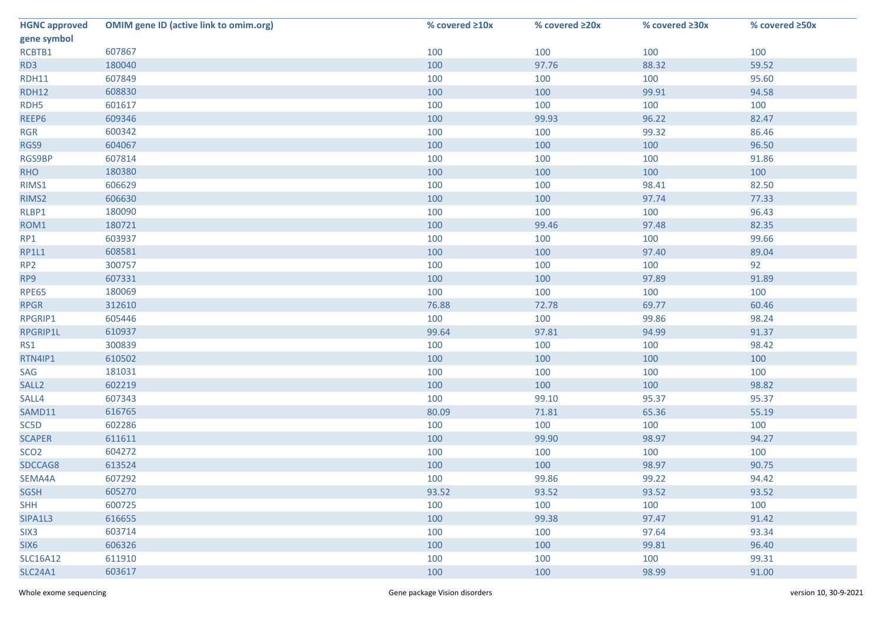| <b>HGNC approved</b> | <b>OMIM gene ID (active link to omim.org)</b> | % covered ≥10x | % covered ≥20x | % covered ≥30x | % covered ≥50x |
|----------------------|-----------------------------------------------|----------------|----------------|----------------|----------------|
| gene symbol          |                                               |                |                |                |                |
| RCBTB1               | 607867                                        | 100            | 100            | 100            | 100            |
| RD3                  | 180040                                        | 100            | 97.76          | 88.32          | 59.52          |
| <b>RDH11</b>         | 607849                                        | 100            | 100            | 100            | 95.60          |
| <b>RDH12</b>         | 608830                                        | 100            | 100            | 99.91          | 94.58          |
| RDH <sub>5</sub>     | 601617                                        | 100            | 100            | 100            | 100            |
| REEP6                | 609346                                        | 100            | 99.93          | 96.22          | 82.47          |
| <b>RGR</b>           | 600342                                        | 100            | 100            | 99.32          | 86.46          |
| RGS9                 | 604067                                        | 100            | 100            | 100            | 96.50          |
| RGS9BP               | 607814                                        | 100            | 100            | 100            | 91.86          |
| <b>RHO</b>           | 180380                                        | 100            | 100            | 100            | 100            |
| RIMS1                | 606629                                        | 100            | 100            | 98.41          | 82.50          |
| RIMS2                | 606630                                        | 100            | 100            | 97.74          | 77.33          |
| RLBP1                | 180090                                        | 100            | 100            | 100            | 96.43          |
| ROM1                 | 180721                                        | 100            | 99.46          | 97.48          | 82.35          |
| RP1                  | 603937                                        | 100            | 100            | 100            | 99.66          |
| <b>RP1L1</b>         | 608581                                        | 100            | 100            | 97.40          | 89.04          |
| RP <sub>2</sub>      | 300757                                        | 100            | 100            | 100            | 92             |
| RP9                  | 607331                                        | 100            | 100            | 97.89          | 91.89          |
| <b>RPE65</b>         | 180069                                        | 100            | 100            | 100            | 100            |
| <b>RPGR</b>          | 312610                                        | 76.88          | 72.78          | 69.77          | 60.46          |
| RPGRIP1              | 605446                                        | 100            | 100            | 99.86          | 98.24          |
| RPGRIP1L             | 610937                                        | 99.64          | 97.81          | 94.99          | 91.37          |
| RS1                  | 300839                                        | 100            | 100            | 100            | 98.42          |
| RTN4IP1              | 610502                                        | 100            | 100            | 100            | 100            |
| SAG                  | 181031                                        | 100            | 100            | 100            | 100            |
| SALL <sub>2</sub>    | 602219                                        | 100            | 100            | 100            | 98.82          |
| SALL4                | 607343                                        | 100            | 99.10          | 95.37          | 95.37          |
| SAMD11               | 616765                                        | 80.09          | 71.81          | 65.36          | 55.19          |
| SC5D                 | 602286                                        | 100            | 100            | 100            | 100            |
| <b>SCAPER</b>        | 611611                                        | 100            | 99.90          | 98.97          | 94.27          |
| SCO <sub>2</sub>     | 604272                                        | 100            | 100            | 100            | 100            |
| SDCCAG8              | 613524                                        | 100            | 100            | 98.97          | 90.75          |
| SEMA4A               | 607292                                        | 100            | 99.86          | 99.22          | 94.42          |
| <b>SGSH</b>          | 605270                                        | 93.52          | 93.52          | 93.52          | 93.52          |
| <b>SHH</b>           | 600725                                        | 100            | 100            | 100            | 100            |
| SIPA1L3              | 616655                                        | 100            | 99.38          | 97.47          | 91.42          |
| SIX <sub>3</sub>     | 603714                                        | 100            | 100            | 97.64          | 93.34          |
| SIX <sub>6</sub>     | 606326                                        | 100            | 100            | 99.81          | 96.40          |
| <b>SLC16A12</b>      | 611910                                        | 100            | 100            | 100            | 99.31          |
| <b>SLC24A1</b>       | 603617                                        | 100            | 100            | 98.99          | 91.00          |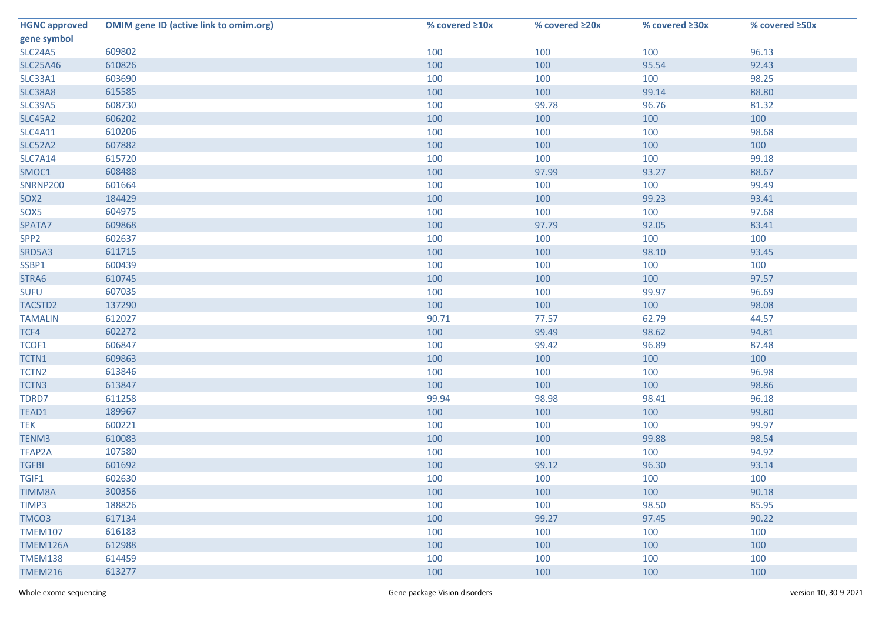| <b>HGNC approved</b> | <b>OMIM gene ID (active link to omim.org)</b> | % covered ≥10x | % covered ≥20x | % covered ≥30x | % covered ≥50x |
|----------------------|-----------------------------------------------|----------------|----------------|----------------|----------------|
| gene symbol          |                                               |                |                |                |                |
| <b>SLC24A5</b>       | 609802                                        | 100            | 100            | 100            | 96.13          |
| <b>SLC25A46</b>      | 610826                                        | 100            | 100            | 95.54          | 92.43          |
| SLC33A1              | 603690                                        | 100            | 100            | 100            | 98.25          |
| SLC38A8              | 615585                                        | 100            | 100            | 99.14          | 88.80          |
| <b>SLC39A5</b>       | 608730                                        | 100            | 99.78          | 96.76          | 81.32          |
| <b>SLC45A2</b>       | 606202                                        | 100            | 100            | 100            | 100            |
| <b>SLC4A11</b>       | 610206                                        | 100            | 100            | 100            | 98.68          |
| <b>SLC52A2</b>       | 607882                                        | 100            | 100            | 100            | 100            |
| <b>SLC7A14</b>       | 615720                                        | 100            | 100            | 100            | 99.18          |
| SMOC1                | 608488                                        | 100            | 97.99          | 93.27          | 88.67          |
| <b>SNRNP200</b>      | 601664                                        | 100            | 100            | 100            | 99.49          |
| SOX <sub>2</sub>     | 184429                                        | 100            | 100            | 99.23          | 93.41          |
| SOX5                 | 604975                                        | 100            | 100            | 100            | 97.68          |
| SPATA7               | 609868                                        | 100            | 97.79          | 92.05          | 83.41          |
| SPP <sub>2</sub>     | 602637                                        | 100            | 100            | 100            | 100            |
| SRD5A3               | 611715                                        | 100            | 100            | 98.10          | 93.45          |
| SSBP1                | 600439                                        | 100            | 100            | 100            | 100            |
| STRA6                | 610745                                        | 100            | 100            | 100            | 97.57          |
| <b>SUFU</b>          | 607035                                        | 100            | 100            | 99.97          | 96.69          |
| TACSTD2              | 137290                                        | 100            | 100            | 100            | 98.08          |
| <b>TAMALIN</b>       | 612027                                        | 90.71          | 77.57          | 62.79          | 44.57          |
| TCF4                 | 602272                                        | 100            | 99.49          | 98.62          | 94.81          |
| TCOF1                | 606847                                        | 100            | 99.42          | 96.89          | 87.48          |
| TCTN1                | 609863                                        | 100            | 100            | 100            | 100            |
| TCTN <sub>2</sub>    | 613846                                        | 100            | 100            | 100            | 96.98          |
| TCTN3                | 613847                                        | 100            | 100            | 100            | 98.86          |
| TDRD7                | 611258                                        | 99.94          | 98.98          | 98.41          | 96.18          |
| TEAD1                | 189967                                        | 100            | 100            | 100            | 99.80          |
| <b>TEK</b>           | 600221                                        | 100            | 100            | 100            | 99.97          |
| TENM3                | 610083                                        | 100            | 100            | 99.88          | 98.54          |
| TFAP2A               | 107580                                        | 100            | 100            | 100            | 94.92          |
| <b>TGFBI</b>         | 601692                                        | 100            | 99.12          | 96.30          | 93.14          |
| TGIF1                | 602630                                        | 100            | 100            | 100            | 100            |
| <b>TIMM8A</b>        | 300356                                        | 100            | 100            | 100            | 90.18          |
| TIMP3                | 188826                                        | 100            | 100            | 98.50          | 85.95          |
| TMCO3                | 617134                                        | 100            | 99.27          | 97.45          | 90.22          |
| <b>TMEM107</b>       | 616183                                        | 100            | 100            | 100            | 100            |
| TMEM126A             | 612988                                        | 100            | 100            | 100            | 100            |
| <b>TMEM138</b>       | 614459                                        | 100            | 100            | 100            | 100            |
| <b>TMEM216</b>       | 613277                                        | 100            | 100            | 100            | 100            |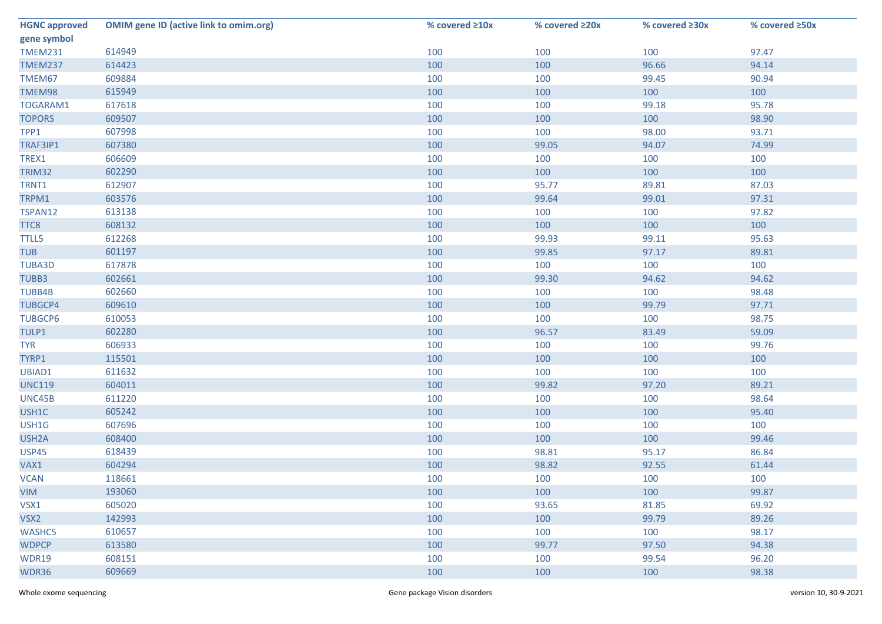| <b>HGNC approved</b> | <b>OMIM gene ID (active link to omim.org)</b> | % covered ≥10x | % covered ≥20x | % covered ≥30x | % covered ≥50x |
|----------------------|-----------------------------------------------|----------------|----------------|----------------|----------------|
| gene symbol          |                                               |                |                |                |                |
| <b>TMEM231</b>       | 614949                                        | 100            | 100            | 100            | 97.47          |
| <b>TMEM237</b>       | 614423                                        | 100            | 100            | 96.66          | 94.14          |
| TMEM67               | 609884                                        | 100            | 100            | 99.45          | 90.94          |
| TMEM98               | 615949                                        | 100            | 100            | 100            | 100            |
| TOGARAM1             | 617618                                        | 100            | 100            | 99.18          | 95.78          |
| <b>TOPORS</b>        | 609507                                        | 100            | 100            | 100            | 98.90          |
| TPP1                 | 607998                                        | 100            | 100            | 98.00          | 93.71          |
| TRAF3IP1             | 607380                                        | 100            | 99.05          | 94.07          | 74.99          |
| TREX1                | 606609                                        | 100            | 100            | 100            | 100            |
| TRIM32               | 602290                                        | 100            | 100            | 100            | 100            |
| TRNT1                | 612907                                        | 100            | 95.77          | 89.81          | 87.03          |
| TRPM1                | 603576                                        | 100            | 99.64          | 99.01          | 97.31          |
| TSPAN12              | 613138                                        | 100            | 100            | 100            | 97.82          |
| TTC8                 | 608132                                        | 100            | 100            | 100            | 100            |
| <b>TTLL5</b>         | 612268                                        | 100            | 99.93          | 99.11          | 95.63          |
| <b>TUB</b>           | 601197                                        | 100            | 99.85          | 97.17          | 89.81          |
| <b>TUBA3D</b>        | 617878                                        | 100            | 100            | 100            | 100            |
| TUBB3                | 602661                                        | 100            | 99.30          | 94.62          | 94.62          |
| TUBB4B               | 602660                                        | 100            | 100            | 100            | 98.48          |
| <b>TUBGCP4</b>       | 609610                                        | 100            | 100            | 99.79          | 97.71          |
| <b>TUBGCP6</b>       | 610053                                        | 100            | 100            | 100            | 98.75          |
| TULP1                | 602280                                        | 100            | 96.57          | 83.49          | 59.09          |
| <b>TYR</b>           | 606933                                        | 100            | 100            | 100            | 99.76          |
| TYRP1                | 115501                                        | 100            | 100            | 100            | 100            |
| UBIAD1               | 611632                                        | 100            | 100            | 100            | 100            |
| <b>UNC119</b>        | 604011                                        | 100            | 99.82          | 97.20          | 89.21          |
| UNC45B               | 611220                                        | 100            | 100            | 100            | 98.64          |
| USH1C                | 605242                                        | 100            | 100            | 100            | 95.40          |
| USH1G                | 607696                                        | 100            | 100            | 100            | 100            |
| USH <sub>2</sub> A   | 608400                                        | 100            | 100            | 100            | 99.46          |
| <b>USP45</b>         | 618439                                        | 100            | 98.81          | 95.17          | 86.84          |
| VAX1                 | 604294                                        | 100            | 98.82          | 92.55          | 61.44          |
| <b>VCAN</b>          | 118661                                        | 100            | 100            | 100            | 100            |
| <b>VIM</b>           | 193060                                        | 100            | 100            | 100            | 99.87          |
| VSX1                 | 605020                                        | 100            | 93.65          | 81.85          | 69.92          |
| VSX2                 | 142993                                        | 100            | 100            | 99.79          | 89.26          |
| <b>WASHC5</b>        | 610657                                        | 100            | 100            | 100            | 98.17          |
| <b>WDPCP</b>         | 613580                                        | 100            | 99.77          | 97.50          | 94.38          |
| <b>WDR19</b>         | 608151                                        | 100            | 100            | 99.54          | 96.20          |
| WDR36                | 609669                                        | 100            | 100            | 100            | 98.38          |